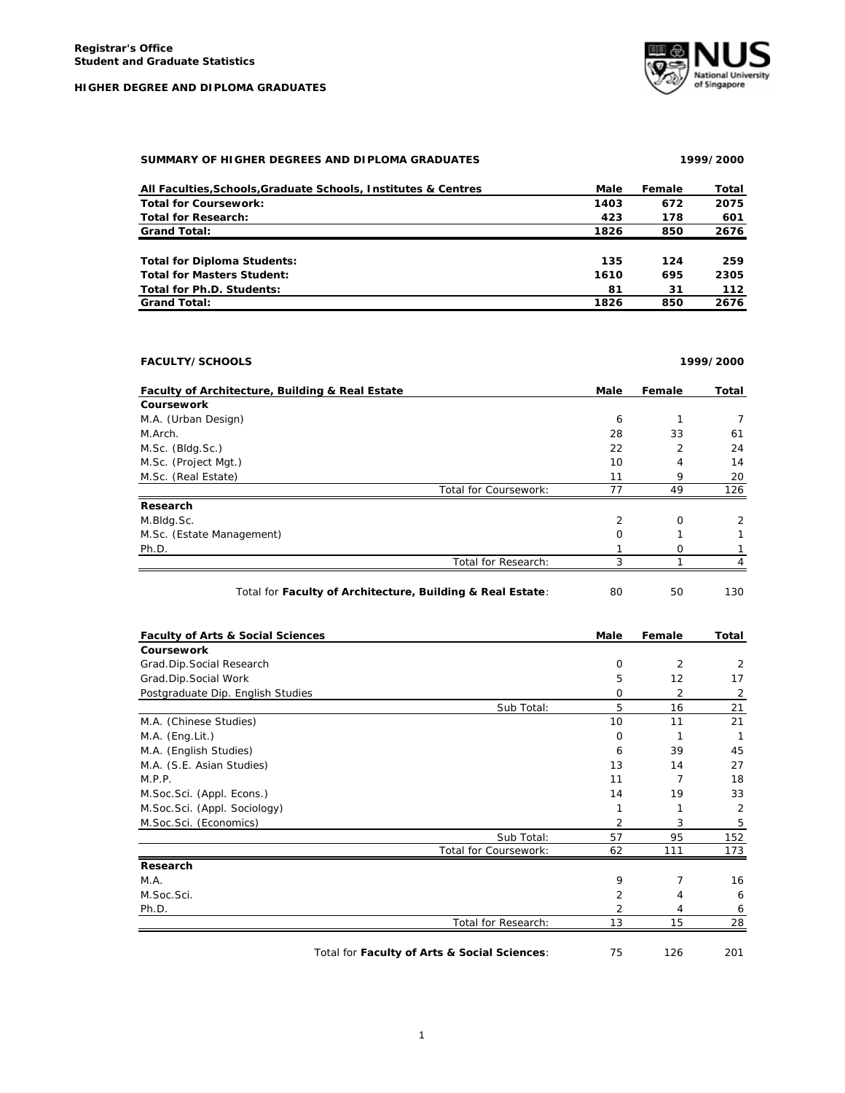

| SUMMARY OF HIGHER DEGREES AND DIPLOMA GRADUATES | 1999/2000 |
|-------------------------------------------------|-----------|

| All Faculties, Schools, Graduate Schools, Institutes & Centres | Male | Female | Total |
|----------------------------------------------------------------|------|--------|-------|
| <b>Total for Coursework:</b>                                   | 1403 | 672    | 2075  |
| <b>Total for Research:</b>                                     | 423  | 178    | 601   |
| <b>Grand Total:</b>                                            | 1826 | 850    | 2676  |
|                                                                |      |        |       |
| <b>Total for Diploma Students:</b>                             | 135  | 124    | 259   |
| <b>Total for Masters Student:</b>                              | 1610 | 695    | 2305  |
| Total for Ph.D. Students:                                      | 81   | 31     | 112   |
| <b>Grand Total:</b>                                            | 1826 | 850    | 2676  |

| <b>FACULTY/SCHOOLS</b>                                     |          |                | 1999/2000      |
|------------------------------------------------------------|----------|----------------|----------------|
| Faculty of Architecture, Building & Real Estate            | Male     | Female         | Total          |
| <b>Coursework</b>                                          |          |                |                |
| M.A. (Urban Design)                                        | 6        | 1              | 7              |
| M.Arch.                                                    | 28       | 33             | 61             |
| M.Sc. (Bldg.Sc.)                                           | 22       | $\overline{2}$ | 24             |
| M.Sc. (Project Mgt.)                                       | 10       | $\overline{4}$ | 14             |
| M.Sc. (Real Estate)                                        | 11       | 9              | 20             |
| Total for Coursework:                                      | 77       | 49             | 126            |
| Research                                                   |          |                |                |
| M.Bldg.Sc.                                                 | 2        | $\Omega$       | $\overline{2}$ |
| M.Sc. (Estate Management)                                  | $\Omega$ |                |                |
| Ph.D.                                                      |          | O              |                |
| Total for Research:                                        |          |                |                |
| Total for Faculty of Architecture, Building & Real Estate: | 80       | 50             | 130            |

| <b>Faculty of Arts &amp; Social Sciences</b> |                       | Male | Female | Total |
|----------------------------------------------|-----------------------|------|--------|-------|
| <b>Coursework</b>                            |                       |      |        |       |
| Grad.Dip.Social Research                     |                       | 0    | 2      | 2     |
| Grad.Dip.Social Work                         |                       | 5    | 12     | 17    |
| Postgraduate Dip. English Studies            |                       | 0    | 2      | 2     |
|                                              | Sub Total:            | 5    | 16     | 21    |
| M.A. (Chinese Studies)                       |                       | 10   | 11     | 21    |
| $M.A.$ (Eng. Lit.)                           |                       | 0    |        | 1     |
| M.A. (English Studies)                       |                       | 6    | 39     | 45    |
| M.A. (S.E. Asian Studies)                    |                       | 13   | 14     | 27    |
| M.P.P.                                       |                       | 11   | 7      | 18    |
| M.Soc.Sci. (Appl. Econs.)                    |                       | 14   | 19     | 33    |
| M.Soc.Sci. (Appl. Sociology)                 |                       |      | 1      | 2     |
| M.Soc.Sci. (Economics)                       |                       | 2    | 3      | 5     |
|                                              | Sub Total:            | 57   | 95     | 152   |
|                                              | Total for Coursework: | 62   | 111    | 173   |
| Research                                     |                       |      |        |       |
| M.A.                                         |                       | 9    | 7      | 16    |
| M.Soc.Sci.                                   |                       | 2    | 4      | 6     |
| Ph.D.                                        |                       | 2    | 4      | 6     |
|                                              | Total for Research:   | 13   | 15     | 28    |

Total for **Faculty of Arts & Social Sciences**: 75 126 201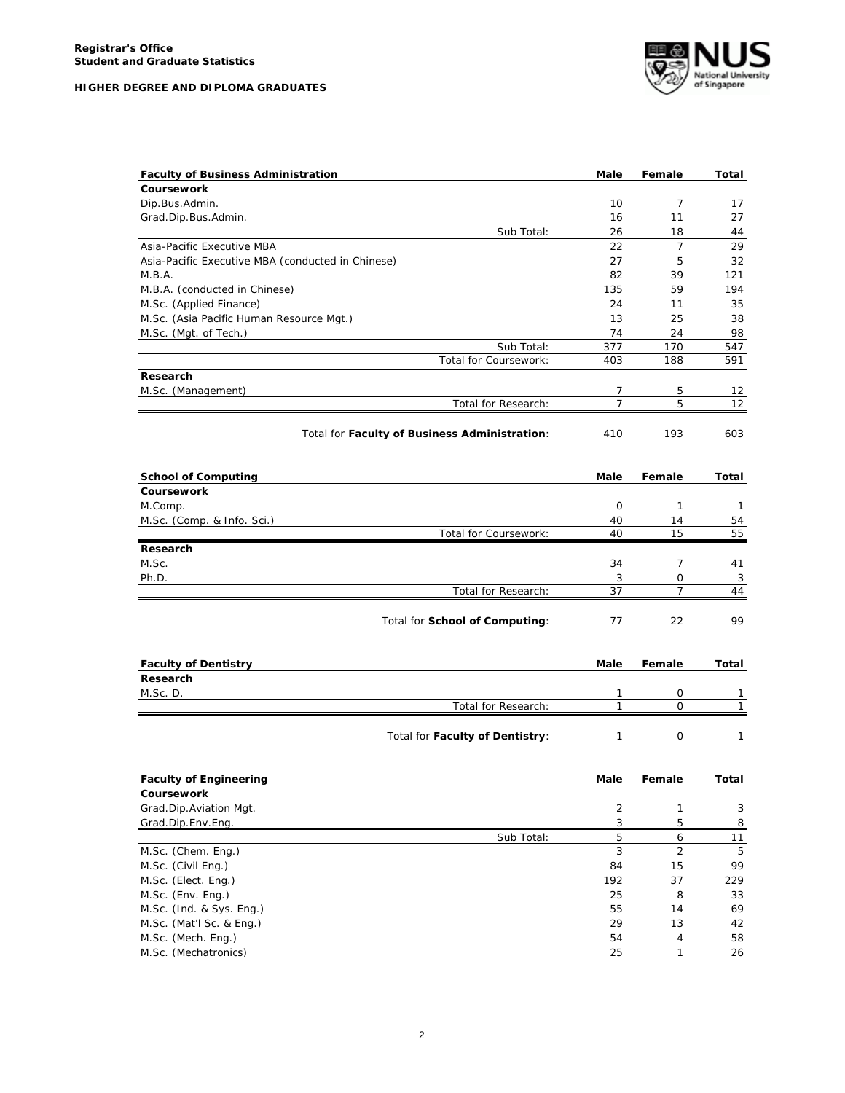

| <b>Faculty of Business Administration</b>         | Male         | Female         | Total |
|---------------------------------------------------|--------------|----------------|-------|
| Coursework                                        |              |                |       |
| Dip.Bus.Admin.                                    | 10           | 7              | 17    |
| Grad.Dip.Bus.Admin.                               | 16           | 11             | 27    |
| Sub Total:                                        | 26           | 18             | 44    |
| Asia-Pacific Executive MBA                        | 22           | 7              | 29    |
| Asia-Pacific Executive MBA (conducted in Chinese) | 27           | 5              | 32    |
| M.B.A.                                            | 82           | 39             | 121   |
| M.B.A. (conducted in Chinese)                     | 135          | 59             | 194   |
| M.Sc. (Applied Finance)                           | 24           | 11             | 35    |
| M.Sc. (Asia Pacific Human Resource Mgt.)          | 13           | 25             | 38    |
| M.Sc. (Mgt. of Tech.)                             | 74           | 24             | 98    |
| Sub Total:                                        | 377          | 170            | 547   |
| Total for Coursework:                             | 403          | 188            | 591   |
| Research                                          |              |                |       |
| M.Sc. (Management)                                | 7            | 5              | 12    |
| Total for Research:                               | 7            | 5              | 12    |
| Total for Faculty of Business Administration:     | 410          | 193            | 603   |
| <b>School of Computing</b>                        | Male         | Female         | Total |
| <b>Coursework</b>                                 |              |                |       |
| M.Comp.                                           | 0            | 1              | 1     |
| M.Sc. (Comp. & Info. Sci.)                        | 40           | 14             | 54    |
| Total for Coursework:                             | 40           | 15             | 55    |
| Research                                          |              |                |       |
| M.Sc.                                             | 34           | 7              | 41    |
| Ph.D.                                             | 3            | 0              | 3     |
| Total for Research:                               | 37           | 7              | 44    |
| Total for School of Computing:                    | 77           | 22             | 99    |
| <b>Faculty of Dentistry</b>                       | Male         | Female         | Total |
| Research                                          |              |                |       |
| M.Sc. D.                                          | 1            | 0              | 1     |
| Total for Research:                               | 1            | 0              | 1     |
| Total for Faculty of Dentistry:                   | $\mathbf{1}$ | 0              | 1     |
| <b>Faculty of Engineering</b>                     | Male         | Female         | Total |
| Coursework                                        |              |                |       |
| Grad.Dip.Aviation Mgt.                            | 2            | 1              | 3     |
| Grad.Dip.Env.Eng.                                 | 3            | 5              | 8     |
| Sub Total:                                        | 5            | 6              | 11    |
| M.Sc. (Chem. Eng.)                                | $\sqrt{3}$   | $\overline{2}$ | 5     |
| M.Sc. (Civil Eng.)                                | 84           | 15             | 99    |
| M.Sc. (Elect. Eng.)                               | 192          | 37             | 229   |
| M.Sc. (Env. Eng.)                                 | 25           | 8              | 33    |
| M.Sc. (Ind. & Sys. Eng.)                          | 55           | 14             | 69    |
| M.Sc. (Mat'l Sc. & Eng.)                          | 29           | 13             | 42    |
| M.Sc. (Mech. Eng.)                                | 54           | 4              | 58    |
| M.Sc. (Mechatronics)                              | 25           | 1              | 26    |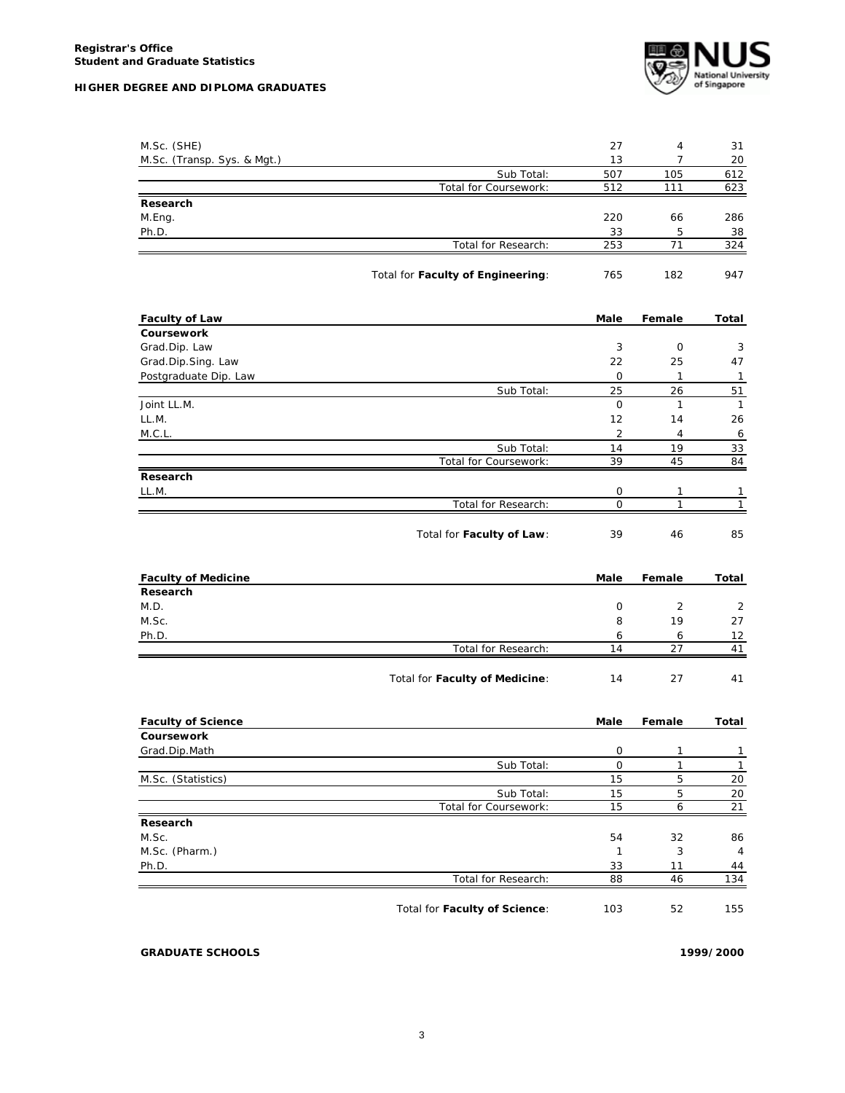

| M.Sc. (SHE)                 |                                   | 27           | 4              | 31             |
|-----------------------------|-----------------------------------|--------------|----------------|----------------|
| M.Sc. (Transp. Sys. & Mgt.) |                                   | 13           | $\overline{7}$ | 20             |
|                             | Sub Total:                        | 507          | 105            | 612            |
|                             | Total for Coursework:             | 512          | 111            | 623            |
| Research                    |                                   |              |                |                |
| M.Eng.                      |                                   | 220          | 66             | 286            |
| Ph.D.                       |                                   | 33           | 5              | 38             |
|                             | Total for Research:               | 253          | 71             | 324            |
|                             | Total for Faculty of Engineering: | 765          | 182            | 947            |
| <b>Faculty of Law</b>       |                                   | Male         | Female         | Total          |
| Coursework                  |                                   |              |                |                |
| Grad.Dip. Law               |                                   | 3            | 0              | 3              |
| Grad.Dip.Sing. Law          |                                   | 22           | 25             | 47             |
| Postgraduate Dip. Law       |                                   | 0            | $\mathbf{1}$   | $\mathbf{1}$   |
|                             | Sub Total:                        | 25           | 26             | 51             |
| Joint LL.M.                 |                                   | 0            | 1              | $\mathbf{1}$   |
| LL.M.                       |                                   | 12           | 14             | 26             |
| M.C.L.                      |                                   | 2            | 4              | 6              |
|                             | Sub Total:                        | 14           | 19             | 33             |
|                             | Total for Coursework:             | 39           | 45             | 84             |
| Research                    |                                   |              |                |                |
| LL.M.                       |                                   | 0            | 1              | 1              |
|                             | Total for Research:               | 0            | 1              | $\mathbf{1}$   |
|                             | Total for Faculty of Law:         | 39           | 46             | 85             |
| <b>Faculty of Medicine</b>  |                                   | Male         | Female         | Total          |
|                             |                                   |              |                |                |
| Research                    |                                   |              |                |                |
| M.D.                        |                                   | 0            | 2              | 2              |
| M.Sc.                       |                                   | 8            | 19             | 27             |
| Ph.D.                       |                                   | 6            | 6              | 12             |
|                             | Total for Research:               | 14           | 27             | 41             |
|                             | Total for Faculty of Medicine:    | 14           | 27             | 41             |
| <b>Faculty of Science</b>   |                                   | Male         | Female         | Total          |
| Coursework                  |                                   |              |                |                |
| Grad.Dip.Math               |                                   | 0            | 1              | 1              |
|                             | Sub Total:                        | 0            | 1              | $\overline{1}$ |
| M.Sc. (Statistics)          |                                   | 15           | 5              | 20             |
|                             | Sub Total:                        | 15           | 5              | 20             |
|                             | Total for Coursework:             | 15           | 6              | 21             |
| Research                    |                                   |              |                |                |
| M.Sc.                       |                                   | 54           | 32             | 86             |
| M.Sc. (Pharm.)              |                                   | $\mathbf{1}$ | 3              | 4              |
| Ph.D.                       |                                   | 33           | 11             | 44             |
|                             | Total for Research:               | 88           | 46             | 134            |

**GRADUATE SCHOOLS 1999/2000**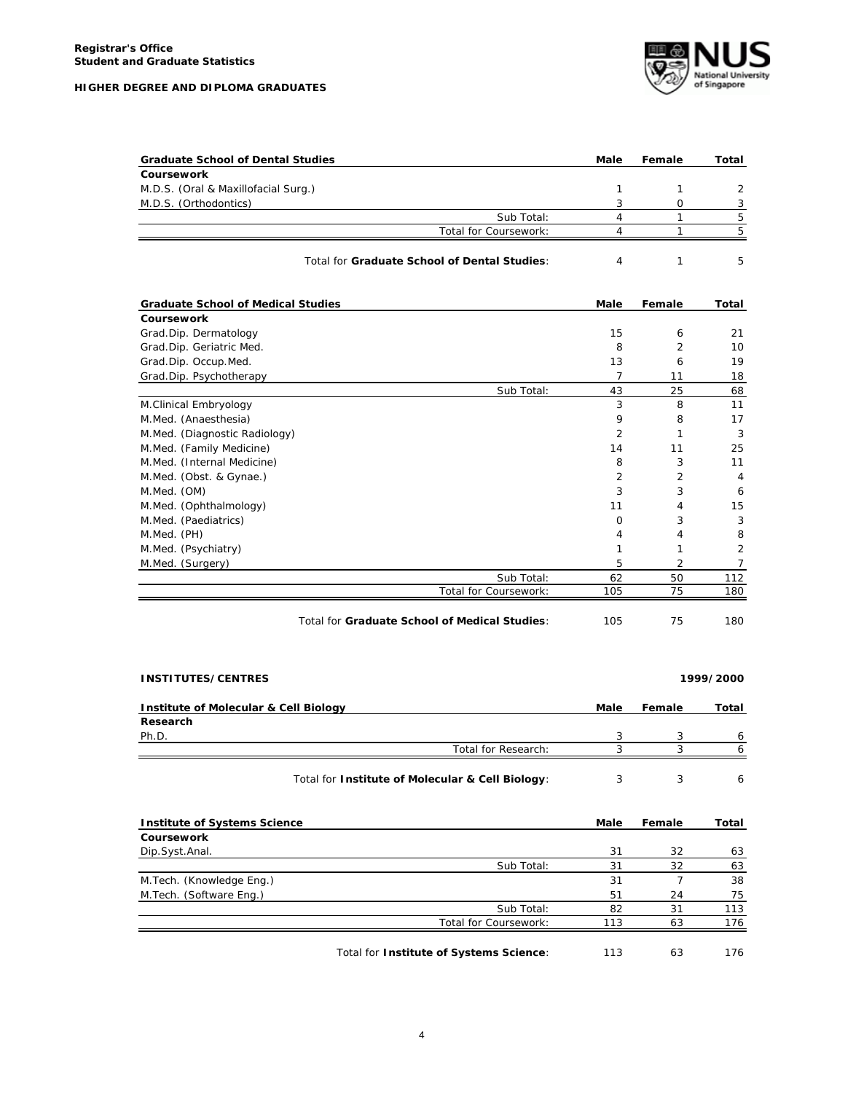| HIGHER DEGREE AND DIPLOMA GRADUATES |  |  |  |
|-------------------------------------|--|--|--|
|                                     |  |  |  |



| <b>Graduate School of Dental Studies</b> |                       | Male | Female | Total         |
|------------------------------------------|-----------------------|------|--------|---------------|
| Coursework                               |                       |      |        |               |
| M.D.S. (Oral & Maxillofacial Surg.)      |                       |      |        | $\mathcal{D}$ |
| M.D.S. (Orthodontics)                    |                       |      |        |               |
|                                          | Sub Total:            |      |        |               |
|                                          | Total for Coursework: |      |        |               |
|                                          |                       |      |        |               |

| Total for Graduate School of Dental Studies: |
|----------------------------------------------|
|                                              |

| <b>Graduate School of Medical Studies</b> |                       | Male     | Female         | Total |
|-------------------------------------------|-----------------------|----------|----------------|-------|
| <b>Coursework</b>                         |                       |          |                |       |
| Grad.Dip. Dermatology                     |                       | 15       | 6              | 21    |
| Grad.Dip. Geriatric Med.                  |                       | 8        | 2              | 10    |
| Grad.Dip. Occup.Med.                      |                       | 13       | 6              | 19    |
| Grad.Dip. Psychotherapy                   |                       | 7        | 11             | 18    |
|                                           | Sub Total:            | 43       | 25             | 68    |
| M.Clinical Embryology                     |                       | 3        | 8              | 11    |
| M.Med. (Anaesthesia)                      |                       | 9        | 8              | 17    |
| M.Med. (Diagnostic Radiology)             |                       | 2        |                | 3     |
| M.Med. (Family Medicine)                  |                       | 14       | 11             | 25    |
| M.Med. (Internal Medicine)                |                       | 8        | 3              | 11    |
| M.Med. (Obst. & Gynae.)                   |                       | 2        | $\overline{2}$ | 4     |
| M.Med. (OM)                               |                       | 3        | 3              | 6     |
| M.Med. (Ophthalmology)                    |                       | 11       | 4              | 15    |
| M.Med. (Paediatrics)                      |                       | $\Omega$ | 3              | 3     |
| M.Med. (PH)                               |                       | 4        | 4              | 8     |
| M.Med. (Psychiatry)                       |                       | 1        |                | 2     |
| M.Med. (Surgery)                          |                       | 5        | 2              | 7     |
|                                           | Sub Total:            | 62       | 50             | 112   |
|                                           | Total for Coursework: | 105      | 75             | 180   |

| Total for Graduate School of Medical Studies: | 105 |  | 180 |
|-----------------------------------------------|-----|--|-----|
|-----------------------------------------------|-----|--|-----|

| <b>INSTITUTES/CENTRES</b>                        |                     |      |                | 1999/2000 |
|--------------------------------------------------|---------------------|------|----------------|-----------|
| <b>Institute of Molecular &amp; Cell Biology</b> |                     | Male | Female         | Total     |
| Research                                         |                     |      |                |           |
| Ph.D.                                            |                     | 3    | 3              | 6         |
|                                                  | Total for Research: | 3    | 3              | 6         |
| Total for Institute of Molecular & Cell Biology: |                     | 3    | 3              | 6         |
| <b>Institute of Systems Science</b>              |                     | Male | Female         | Total     |
| Coursework                                       |                     |      |                |           |
| Dip.Syst.Anal.                                   |                     | 31   | 32             | 63        |
|                                                  | Sub Total:          | 31   | 32             | 63        |
| M.Tech. (Knowledge Eng.)                         |                     | 31   | $\overline{ }$ | 38        |
| M. Tech. (Software Eng.)                         |                     | 51   | 24             | 75        |

Total for **Institute of Systems Science**: 113 63 176

Total for Coursework: 113 63

Sub Total: 82 31 113<br>
Sursework: 113 63 176